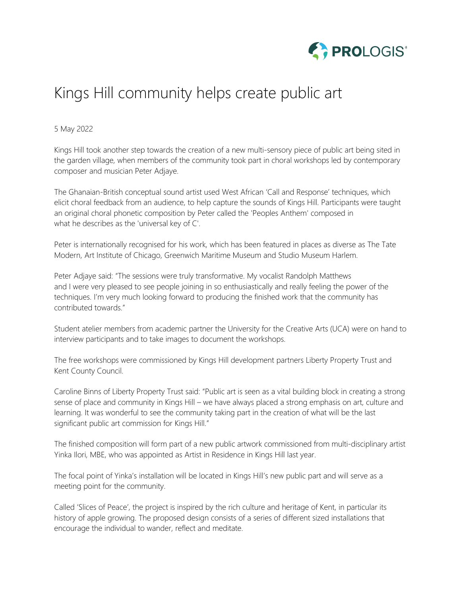

# Kings Hill community helps create public art

# 5 May 2022

Kings Hill took another step towards the creation of a new multi-sensory piece of public art being sited in the garden village, when members of the community took part in choral workshops led by contemporary composer and musician Peter Adjaye.

The Ghanaian-British conceptual sound artist used West African 'Call and Response' techniques, which elicit choral feedback from an audience, to help capture the sounds of Kings Hill. Participants were taught an original choral phonetic composition by Peter called the 'Peoples Anthem' composed in what he describes as the 'universal key of C'.

Peter is internationally recognised for his work, which has been featured in places as diverse as The Tate Modern, Art Institute of Chicago, Greenwich Maritime Museum and Studio Museum Harlem.

Peter Adjaye said: "The sessions were truly transformative. My vocalist Randolph Matthews and I were very pleased to see people joining in so enthusiastically and really feeling the power of the techniques. I'm very much looking forward to producing the finished work that the community has contributed towards."

Student atelier members from academic partner the University for the Creative Arts (UCA) were on hand to interview participants and to take images to document the workshops.

The free workshops were commissioned by Kings Hill development partners Liberty Property Trust and Kent County Council.

Caroline Binns of Liberty Property Trust said: "Public art is seen as a vital building block in creating a strong sense of place and community in Kings Hill – we have always placed a strong emphasis on art, culture and learning. It was wonderful to see the community taking part in the creation of what will be the last significant public art commission for Kings Hill."

The finished composition will form part of a new public artwork commissioned from multi-disciplinary artist Yinka Ilori, MBE, who was appointed as Artist in Residence in Kings Hill last year.

The focal point of Yinka's installation will be located in Kings Hill's new public part and will serve as a meeting point for the community.

Called 'Slices of Peace', the project is inspired by the rich culture and heritage of Kent, in particular its history of apple growing. The proposed design consists of a series of different sized installations that encourage the individual to wander, reflect and meditate.